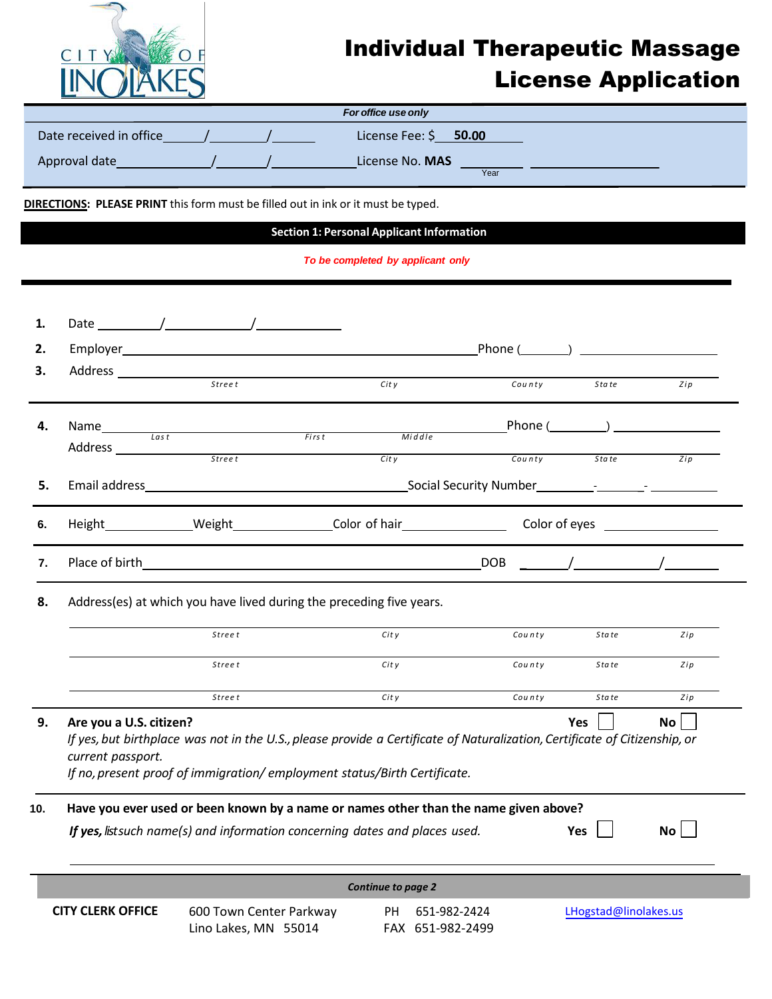

## Individual Therapeutic Massage License Application

| For office use only     |  |  |                         |  |  |  |  |
|-------------------------|--|--|-------------------------|--|--|--|--|
| Date received in office |  |  | License Fee: \$ 50.00   |  |  |  |  |
| Approval date           |  |  | License No. MAS<br>Year |  |  |  |  |

**DIRECTIONS: PLEASE PRINT** this form must be filled out in ink or it must be typed.

Lino Lakes, MN 55014

**Section 1: Personal Applicant Information**

*To be completed by applicant only*

| 1.  |                                                                                                                                                                                                                                                                                   |                                                                                                                            |                           |              |                                                                                                                                                                                                                                                                                                                     |     |  |  |  |
|-----|-----------------------------------------------------------------------------------------------------------------------------------------------------------------------------------------------------------------------------------------------------------------------------------|----------------------------------------------------------------------------------------------------------------------------|---------------------------|--------------|---------------------------------------------------------------------------------------------------------------------------------------------------------------------------------------------------------------------------------------------------------------------------------------------------------------------|-----|--|--|--|
| 2.  |                                                                                                                                                                                                                                                                                   |                                                                                                                            |                           | Phone ( )    |                                                                                                                                                                                                                                                                                                                     |     |  |  |  |
| з.  |                                                                                                                                                                                                                                                                                   | Address and the contract of the contract of the contract of the contract of the contract of the contract of the<br>Stree t | Citv                      | County       | State                                                                                                                                                                                                                                                                                                               | Zip |  |  |  |
| 4.  | Name $\frac{1}{\sqrt{a} + b}$                                                                                                                                                                                                                                                     |                                                                                                                            |                           |              | Phone $(\_\_\_\_)$                                                                                                                                                                                                                                                                                                  |     |  |  |  |
|     |                                                                                                                                                                                                                                                                                   |                                                                                                                            | First<br>Middle           |              |                                                                                                                                                                                                                                                                                                                     |     |  |  |  |
|     |                                                                                                                                                                                                                                                                                   | <b>Street</b>                                                                                                              | City                      | County       | State                                                                                                                                                                                                                                                                                                               | Zip |  |  |  |
| 5.  |                                                                                                                                                                                                                                                                                   |                                                                                                                            |                           |              |                                                                                                                                                                                                                                                                                                                     |     |  |  |  |
| 6.  |                                                                                                                                                                                                                                                                                   |                                                                                                                            |                           |              | Height Meight Meight Meight Meight Meight Meight Meight Meight Meight Meight Meight Meight Meight Meight Meight Meight Meight Meight Meight Meight Meight Meight Meight Meight Meight Meight Meight Meight Meight Meight Meigh                                                                                      |     |  |  |  |
| 7.  |                                                                                                                                                                                                                                                                                   |                                                                                                                            |                           |              | $\frac{1}{2}$ $\frac{1}{2}$ $\frac{1}{2}$ $\frac{1}{2}$ $\frac{1}{2}$ $\frac{1}{2}$ $\frac{1}{2}$ $\frac{1}{2}$ $\frac{1}{2}$ $\frac{1}{2}$ $\frac{1}{2}$ $\frac{1}{2}$ $\frac{1}{2}$ $\frac{1}{2}$ $\frac{1}{2}$ $\frac{1}{2}$ $\frac{1}{2}$ $\frac{1}{2}$ $\frac{1}{2}$ $\frac{1}{2}$ $\frac{1}{2}$ $\frac{1}{2}$ |     |  |  |  |
| 8.  | Address(es) at which you have lived during the preceding five years.                                                                                                                                                                                                              |                                                                                                                            |                           |              |                                                                                                                                                                                                                                                                                                                     |     |  |  |  |
|     |                                                                                                                                                                                                                                                                                   | Street                                                                                                                     | City                      | County       | Sta te                                                                                                                                                                                                                                                                                                              | Zip |  |  |  |
|     |                                                                                                                                                                                                                                                                                   | Stree t                                                                                                                    | City                      | County       | State                                                                                                                                                                                                                                                                                                               | Zip |  |  |  |
|     |                                                                                                                                                                                                                                                                                   | <b>Street</b>                                                                                                              | Cit y                     | County       | State                                                                                                                                                                                                                                                                                                               | Zip |  |  |  |
| 9.  | Are you a U.S. citizen?<br><b>Yes</b><br><b>No</b><br>If yes, but birthplace was not in the U.S., please provide a Certificate of Naturalization, Certificate of Citizenship, or<br>current passport.<br>If no, present proof of immigration/employment status/Birth Certificate. |                                                                                                                            |                           |              |                                                                                                                                                                                                                                                                                                                     |     |  |  |  |
| 10. | Have you ever used or been known by a name or names other than the name given above?<br>If yes, listsuch name(s) and information concerning dates and places used.<br>Yes<br><b>No</b>                                                                                            |                                                                                                                            |                           |              |                                                                                                                                                                                                                                                                                                                     |     |  |  |  |
|     |                                                                                                                                                                                                                                                                                   |                                                                                                                            | <b>Continue to page 2</b> |              |                                                                                                                                                                                                                                                                                                                     |     |  |  |  |
|     | <b>CITY CLERK OFFICE</b>                                                                                                                                                                                                                                                          | 600 Town Center Parkway                                                                                                    | PH                        | 651-982-2424 | LHogstad@linolakes.us                                                                                                                                                                                                                                                                                               |     |  |  |  |

FAX 651-982-2499